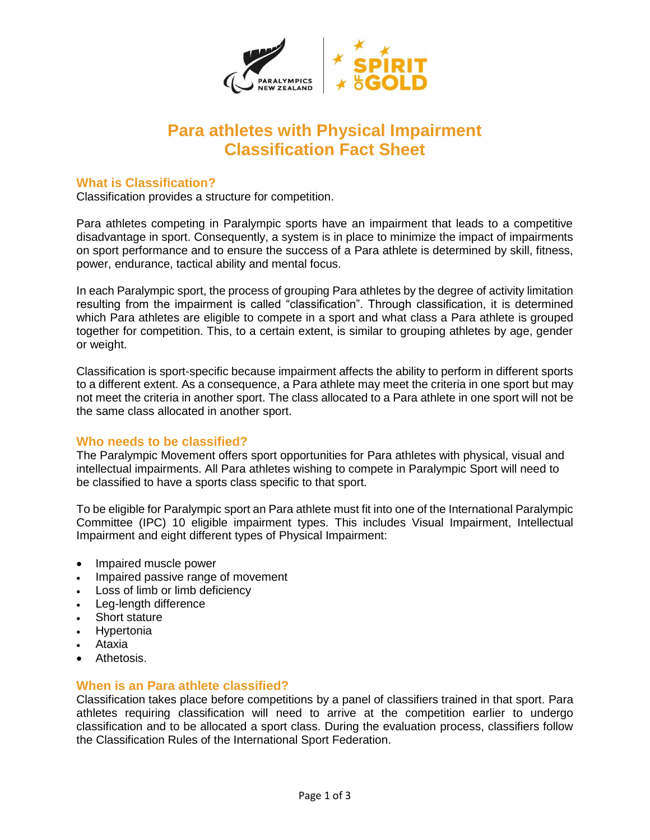

# **Para athletes with Physical Impairment Classification Fact Sheet**

# **What is Classification?**

Classification provides a structure for competition.

Para athletes competing in Paralympic sports have an impairment that leads to a competitive disadvantage in sport. Consequently, a system is in place to minimize the impact of impairments on sport performance and to ensure the success of a Para athlete is determined by skill, fitness, power, endurance, tactical ability and mental focus.

In each Paralympic sport, the process of grouping Para athletes by the degree of activity limitation resulting from the impairment is called "classification". Through classification, it is determined which Para athletes are eligible to compete in a sport and what class a Para athlete is grouped together for competition. This, to a certain extent, is similar to grouping athletes by age, gender or weight.

Classification is sport-specific because impairment affects the ability to perform in different sports to a different extent. As a consequence, a Para athlete may meet the criteria in one sport but may not meet the criteria in another sport. The class allocated to a Para athlete in one sport will not be the same class allocated in another sport.

# **Who needs to be classified?**

The Paralympic Movement offers sport opportunities for Para athletes with physical, visual and intellectual impairments. All Para athletes wishing to compete in Paralympic Sport will need to be classified to have a sports class specific to that sport.

To be eligible for Paralympic sport an Para athlete must fit into one of the International Paralympic Committee (IPC) 10 eligible impairment types. This includes Visual Impairment, Intellectual Impairment and eight different types of Physical Impairment:

- Impaired muscle power
- Impaired passive range of movement
- Loss of limb or limb deficiency
- Leg-length difference
- Short stature
- **Hypertonia**
- Ataxia
- Athetosis.

# **When is an Para athlete classified?**

Classification takes place before competitions by a panel of classifiers trained in that sport. Para athletes requiring classification will need to arrive at the competition earlier to undergo classification and to be allocated a sport class. During the evaluation process, classifiers follow the Classification Rules of the International Sport Federation.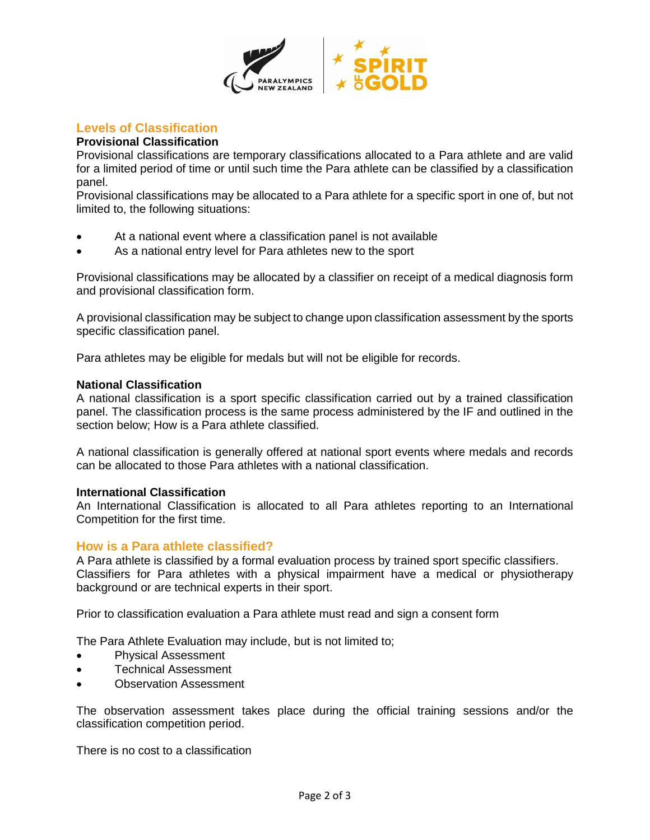

# **Levels of Classification**

## **Provisional Classification**

Provisional classifications are temporary classifications allocated to a Para athlete and are valid for a limited period of time or until such time the Para athlete can be classified by a classification panel.

Provisional classifications may be allocated to a Para athlete for a specific sport in one of, but not limited to, the following situations:

- At a national event where a classification panel is not available
- As a national entry level for Para athletes new to the sport

Provisional classifications may be allocated by a classifier on receipt of a medical diagnosis form and provisional classification form.

A provisional classification may be subject to change upon classification assessment by the sports specific classification panel.

Para athletes may be eligible for medals but will not be eligible for records.

### **National Classification**

A national classification is a sport specific classification carried out by a trained classification panel. The classification process is the same process administered by the IF and outlined in the section below; How is a Para athlete classified.

A national classification is generally offered at national sport events where medals and records can be allocated to those Para athletes with a national classification.

#### **International Classification**

An International Classification is allocated to all Para athletes reporting to an International Competition for the first time.

## **How is a Para athlete classified?**

A Para athlete is classified by a formal evaluation process by trained sport specific classifiers. Classifiers for Para athletes with a physical impairment have a medical or physiotherapy background or are technical experts in their sport.

Prior to classification evaluation a Para athlete must read and sign a consent form

The Para Athlete Evaluation may include, but is not limited to;

- Physical Assessment
- Technical Assessment
- Observation Assessment

The observation assessment takes place during the official training sessions and/or the classification competition period.

There is no cost to a classification